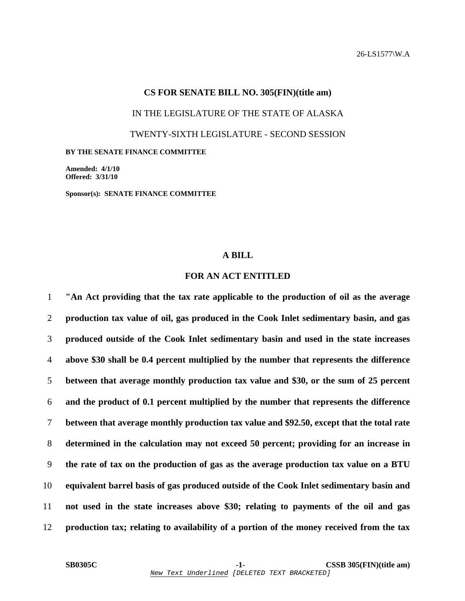### **CS FOR SENATE BILL NO. 305(FIN)(title am)**

IN THE LEGISLATURE OF THE STATE OF ALASKA

TWENTY-SIXTH LEGISLATURE - SECOND SESSION

#### **BY THE SENATE FINANCE COMMITTEE**

**Amended: 4/1/10 Offered: 3/31/10** 

**Sponsor(s): SENATE FINANCE COMMITTEE** 

## **A BILL**

# **FOR AN ACT ENTITLED**

**"An Act providing that the tax rate applicable to the production of oil as the average production tax value of oil, gas produced in the Cook Inlet sedimentary basin, and gas produced outside of the Cook Inlet sedimentary basin and used in the state increases above \$30 shall be 0.4 percent multiplied by the number that represents the difference between that average monthly production tax value and \$30, or the sum of 25 percent and the product of 0.1 percent multiplied by the number that represents the difference between that average monthly production tax value and \$92.50, except that the total rate determined in the calculation may not exceed 50 percent; providing for an increase in the rate of tax on the production of gas as the average production tax value on a BTU equivalent barrel basis of gas produced outside of the Cook Inlet sedimentary basin and not used in the state increases above \$30; relating to payments of the oil and gas production tax; relating to availability of a portion of the money received from the tax**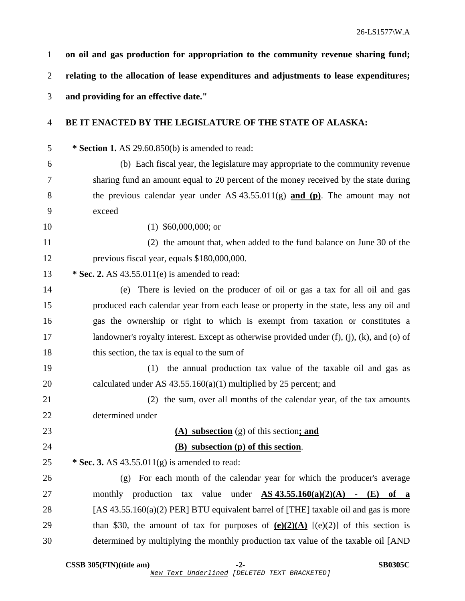**on oil and gas production for appropriation to the community revenue sharing fund; relating to the allocation of lease expenditures and adjustments to lease expenditures; and providing for an effective date." BE IT ENACTED BY THE LEGISLATURE OF THE STATE OF ALASKA:** 

5 **\* Section 1.** AS 29.60.850(b) is amended to read:

6 (b) Each fiscal year, the legislature may appropriate to the community revenue 7 sharing fund an amount equal to 20 percent of the money received by the state during 8 the previous calendar year under AS 43.55.011(g) **and (p)**. The amount may not 9 exceed

10 (1) \$60,000,000; or

11 (2) the amount that, when added to the fund balance on June 30 of the 12 previous fiscal year, equals \$180,000,000.

13 **\* Sec. 2.** AS 43.55.011(e) is amended to read:

14 (e) There is levied on the producer of oil or gas a tax for all oil and gas 15 produced each calendar year from each lease or property in the state, less any oil and 16 gas the ownership or right to which is exempt from taxation or constitutes a 17 landowner's royalty interest. Except as otherwise provided under (f), (j), (k), and (o) of 18 this section, the tax is equal to the sum of

19 (1) the annual production tax value of the taxable oil and gas as 20 calculated under AS 43.55.160(a)(1) multiplied by 25 percent; and

21 (2) the sum, over all months of the calendar year, of the tax amounts 22 determined under

| 23 | (A) subsection $(g)$ of this section; and                                             |
|----|---------------------------------------------------------------------------------------|
| 24 | (B) subsection (p) of this section.                                                   |
| 25 | * Sec. 3. AS $43.55.011(g)$ is amended to read:                                       |
| 26 | For each month of the calendar year for which the producer's average<br>( ၇ )         |
| 27 | production tax value under $AS\,43.55.160(a)(2)(A)$ - (E)<br>monthly<br>of a          |
| 28 | [AS $43.55.160(a)(2)$ PER] BTU equivalent barrel of [THE] taxable oil and gas is more |
| 29 | than \$30, the amount of tax for purposes of $(e)(2)(A)$ [(e)(2)] of this section is  |

30 determined by multiplying the monthly production tax value of the taxable oil [AND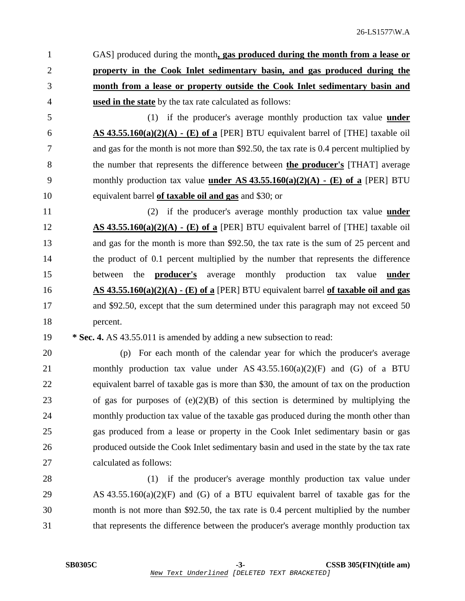1 GAS] produced during the month**, gas produced during the month from a lease or property in the Cook Inlet sedimentary basin, and gas produced during the month from a lease or property outside the Cook Inlet sedimentary basin and used in the state** by the tax rate calculated as follows:

5 (1) if the producer's average monthly production tax value **under** 6 **AS 43.55.160(a)(2)(A) - (E) of a** [PER] BTU equivalent barrel of [THE] taxable oil 7 and gas for the month is not more than \$92.50, the tax rate is 0.4 percent multiplied by 8 the number that represents the difference between **the producer's** [THAT] average 9 monthly production tax value **under AS 43.55.160(a)(2)(A) - (E) of a** [PER] BTU 10 equivalent barrel **of taxable oil and gas** and \$30; or

11 (2) if the producer's average monthly production tax value **under** 12 **AS 43.55.160(a)(2)(A) - (E) of a** [PER] BTU equivalent barrel of [THE] taxable oil 13 and gas for the month is more than \$92.50, the tax rate is the sum of 25 percent and 14 the product of 0.1 percent multiplied by the number that represents the difference 15 between the **producer's** average monthly production tax value **under** 16 **AS 43.55.160(a)(2)(A) - (E) of a** [PER] BTU equivalent barrel **of taxable oil and gas** 17 and \$92.50, except that the sum determined under this paragraph may not exceed 50 18 percent.

# 19 **\* Sec. 4.** AS 43.55.011 is amended by adding a new subsection to read:

20 (p) For each month of the calendar year for which the producer's average 21 monthly production tax value under AS 43.55.160(a)(2)(F) and (G) of a BTU 22 equivalent barrel of taxable gas is more than \$30, the amount of tax on the production 23 of gas for purposes of (e)(2)(B) of this section is determined by multiplying the 24 monthly production tax value of the taxable gas produced during the month other than 25 gas produced from a lease or property in the Cook Inlet sedimentary basin or gas 26 produced outside the Cook Inlet sedimentary basin and used in the state by the tax rate 27 calculated as follows:

28 (1) if the producer's average monthly production tax value under 29 AS 43.55.160(a)(2)(F) and (G) of a BTU equivalent barrel of taxable gas for the 30 month is not more than \$92.50, the tax rate is 0.4 percent multiplied by the number 31 that represents the difference between the producer's average monthly production tax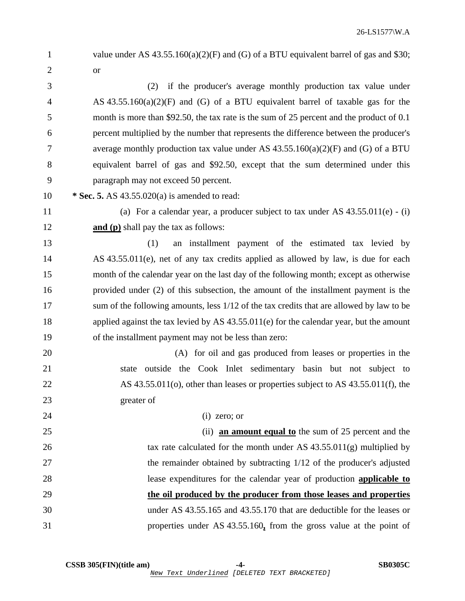2 or 3 (2) if the producer's average monthly production tax value under 4 AS 43.55.160(a)(2)(F) and (G) of a BTU equivalent barrel of taxable gas for the 5 month is more than \$92.50, the tax rate is the sum of 25 percent and the product of 0.1 6 percent multiplied by the number that represents the difference between the producer's 7 average monthly production tax value under AS  $43.55.160(a)(2)(F)$  and (G) of a BTU 8 equivalent barrel of gas and \$92.50, except that the sum determined under this 9 paragraph may not exceed 50 percent. 10 **\* Sec. 5.** AS 43.55.020(a) is amended to read: 11 (a) For a calendar year, a producer subject to tax under AS 43.55.011(e) - (i) 12 **and (p)** shall pay the tax as follows: 13 (1) an installment payment of the estimated tax levied by 14 AS 43.55.011(e), net of any tax credits applied as allowed by law, is due for each 15 month of the calendar year on the last day of the following month; except as otherwise 16 provided under (2) of this subsection, the amount of the installment payment is the 17 sum of the following amounts, less  $1/12$  of the tax credits that are allowed by law to be 18 applied against the tax levied by AS 43.55.011(e) for the calendar year, but the amount 19 of the installment payment may not be less than zero: 20 (A) for oil and gas produced from leases or properties in the 21 state outside the Cook Inlet sedimentary basin but not subject to 22 AS 43.55.011(o), other than leases or properties subject to AS 43.55.011(f), the 23 greater of 24 (i) zero; or 25 (ii) **an amount equal to** the sum of 25 percent and the 26 tax rate calculated for the month under AS 43.55.011(g) multiplied by 27 the remainder obtained by subtracting 1/12 of the producer's adjusted 28 lease expenditures for the calendar year of production **applicable to** 29 **the oil produced by the producer from those leases and properties** 30 under AS 43.55.165 and 43.55.170 that are deductible for the leases or 31 properties under AS 43.55.160**,** from the gross value at the point of

1 value under AS 43.55.160(a)(2)(F) and (G) of a BTU equivalent barrel of gas and \$30;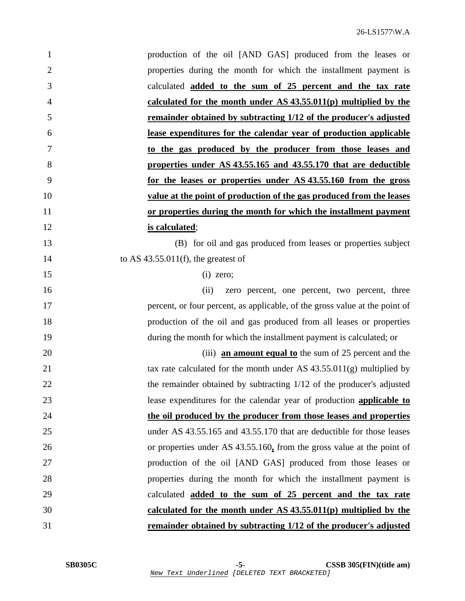| $\mathbf{1}$   | production of the oil [AND GAS] produced from the leases or                 |
|----------------|-----------------------------------------------------------------------------|
| $\overline{2}$ | properties during the month for which the installment payment is            |
| 3              | calculated <b>added to the sum of 25 percent and the tax rate</b>           |
| $\overline{4}$ | calculated for the month under $AS$ 43.55.011(p) multiplied by the          |
| 5              | remainder obtained by subtracting 1/12 of the producer's adjusted           |
| 6              | lease expenditures for the calendar year of production applicable           |
| $\overline{7}$ | to the gas produced by the producer from those leases and                   |
| 8              | properties under AS 43.55.165 and 43.55.170 that are deductible             |
| 9              | for the leases or properties under AS 43.55.160 from the gross              |
| 10             | value at the point of production of the gas produced from the leases        |
| 11             | or properties during the month for which the installment payment            |
| 12             | is calculated;                                                              |
| 13             | (B) for oil and gas produced from leases or properties subject              |
| 14             | to AS $43.55.011(f)$ , the greatest of                                      |
| 15             | $(i)$ zero;                                                                 |
| 16             | zero percent, one percent, two percent, three<br>(ii)                       |
| 17             | percent, or four percent, as applicable, of the gross value at the point of |
| 18             | production of the oil and gas produced from all leases or properties        |
| 19             | during the month for which the installment payment is calculated; or        |
| 20             | (iii) <b>an amount equal to</b> the sum of 25 percent and the               |
| 21             | tax rate calculated for the month under AS $43.55.011(g)$ multiplied by     |
| 22             | the remainder obtained by subtracting 1/12 of the producer's adjusted       |
| 23             | lease expenditures for the calendar year of production applicable to        |
| 24             | the oil produced by the producer from those leases and properties           |
| 25             | under AS 43.55.165 and 43.55.170 that are deductible for those leases       |
| 26             | or properties under AS 43.55.160, from the gross value at the point of      |
| 27             | production of the oil [AND GAS] produced from those leases or               |
| 28             | properties during the month for which the installment payment is            |
| 29             | calculated <b>added to the sum of 25 percent and the tax rate</b>           |
| 30             | calculated for the month under $AS$ 43.55.011(p) multiplied by the          |
| 31             | remainder obtained by subtracting 1/12 of the producer's adjusted           |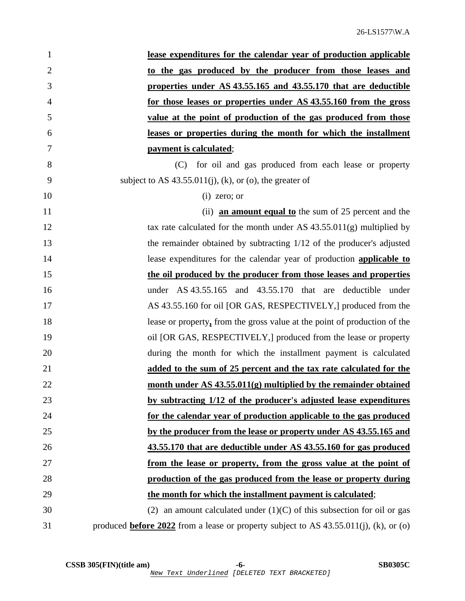| $\mathbf{1}$   | lease expenditures for the calendar year of production applicable                               |
|----------------|-------------------------------------------------------------------------------------------------|
| $\overline{2}$ | to the gas produced by the producer from those leases and                                       |
| 3              | properties under AS 43.55.165 and 43.55.170 that are deductible                                 |
| $\overline{4}$ | for those leases or properties under AS 43.55.160 from the gross                                |
| 5              | value at the point of production of the gas produced from those                                 |
| 6              | leases or properties during the month for which the installment                                 |
| 7              | payment is calculated;                                                                          |
| 8              | (C) for oil and gas produced from each lease or property                                        |
| 9              | subject to AS $43.55.011(j)$ , (k), or (o), the greater of                                      |
| 10             | $(i)$ zero; or                                                                                  |
| 11             | (ii) an amount equal to the sum of $25$ percent and the                                         |
| 12             | tax rate calculated for the month under AS $43.55.011(g)$ multiplied by                         |
| 13             | the remainder obtained by subtracting 1/12 of the producer's adjusted                           |
| 14             | lease expenditures for the calendar year of production <b>applicable to</b>                     |
| 15             | the oil produced by the producer from those leases and properties                               |
| 16             | under AS 43.55.165 and 43.55.170 that are deductible under                                      |
| 17             | AS 43.55.160 for oil [OR GAS, RESPECTIVELY,] produced from the                                  |
| 18             | lease or property, from the gross value at the point of production of the                       |
| 19             | oil [OR GAS, RESPECTIVELY,] produced from the lease or property                                 |
| 20             | during the month for which the installment payment is calculated                                |
| 21             | added to the sum of 25 percent and the tax rate calculated for the                              |
| 22             | month under AS $43.55.011(g)$ multiplied by the remainder obtained                              |
| 23             | by subtracting 1/12 of the producer's adjusted lease expenditures                               |
| 24             | for the calendar year of production applicable to the gas produced                              |
| 25             | by the producer from the lease or property under AS 43.55.165 and                               |
| 26             | 43.55.170 that are deductible under AS 43.55.160 for gas produced                               |
| 27             | from the lease or property, from the gross value at the point of                                |
| 28             | production of the gas produced from the lease or property during                                |
| 29             | the month for which the installment payment is calculated;                                      |
| 30             | (2) an amount calculated under $(1)(C)$ of this subsection for oil or gas                       |
| 31             | produced <b>before 2022</b> from a lease or property subject to AS $43.55.011(j)$ , (k), or (o) |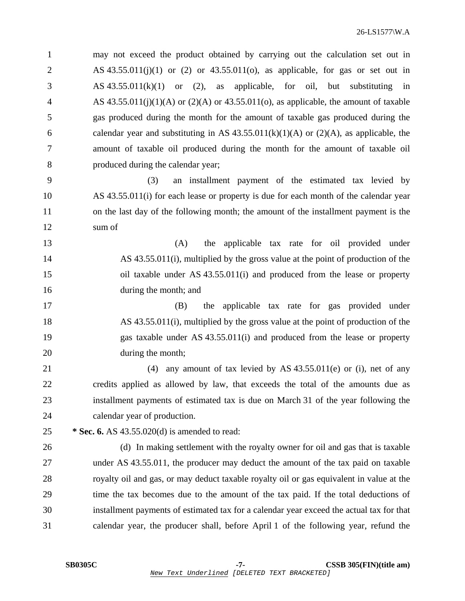1 may not exceed the product obtained by carrying out the calculation set out in 2 AS  $43.55.011(j)(1)$  or  $(2)$  or  $43.55.011(o)$ , as applicable, for gas or set out in 3 AS 43.55.011(k)(1) or (2), as applicable, for oil, but substituting in 4 AS  $43.55.011(i)(1)(A)$  or  $(2)(A)$  or  $43.55.011(o)$ , as applicable, the amount of taxable 5 gas produced during the month for the amount of taxable gas produced during the 6 calendar year and substituting in AS  $43.55.011(k)(1)(A)$  or  $(2)(A)$ , as applicable, the 7 amount of taxable oil produced during the month for the amount of taxable oil 8 produced during the calendar year; 9 (3) an installment payment of the estimated tax levied by 10 AS 43.55.011(i) for each lease or property is due for each month of the calendar year 11 on the last day of the following month; the amount of the installment payment is the 12 sum of 13 (A) the applicable tax rate for oil provided under 14 AS 43.55.011(i), multiplied by the gross value at the point of production of the 15 oil taxable under AS 43.55.011(i) and produced from the lease or property 16 during the month; and 17 (B) the applicable tax rate for gas provided under 18 AS 43.55.011(i), multiplied by the gross value at the point of production of the 19 gas taxable under AS 43.55.011(i) and produced from the lease or property 20 during the month; 21 (4) any amount of tax levied by AS 43.55.011(e) or (i), net of any 22 credits applied as allowed by law, that exceeds the total of the amounts due as 23 installment payments of estimated tax is due on March 31 of the year following the 24 calendar year of production. 25 **\* Sec. 6.** AS 43.55.020(d) is amended to read: 26 (d) In making settlement with the royalty owner for oil and gas that is taxable 27 under AS 43.55.011, the producer may deduct the amount of the tax paid on taxable 28 royalty oil and gas, or may deduct taxable royalty oil or gas equivalent in value at the 29 time the tax becomes due to the amount of the tax paid. If the total deductions of 30 installment payments of estimated tax for a calendar year exceed the actual tax for that 31 calendar year, the producer shall, before April 1 of the following year, refund the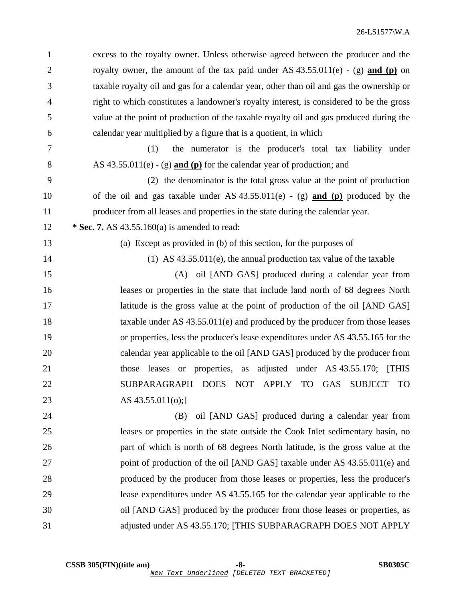1 excess to the royalty owner. Unless otherwise agreed between the producer and the 2 royalty owner, the amount of the tax paid under AS 43.55.011(e) - (g) **and (p)** on 3 taxable royalty oil and gas for a calendar year, other than oil and gas the ownership or 4 right to which constitutes a landowner's royalty interest, is considered to be the gross 5 value at the point of production of the taxable royalty oil and gas produced during the 6 calendar year multiplied by a figure that is a quotient, in which 7 (1) the numerator is the producer's total tax liability under 8 AS 43.55.011(e) - (g) **and (p)** for the calendar year of production; and 9 (2) the denominator is the total gross value at the point of production 10 of the oil and gas taxable under AS 43.55.011(e) - (g) **and (p)** produced by the 11 producer from all leases and properties in the state during the calendar year. 12 **\* Sec. 7.** AS 43.55.160(a) is amended to read: 13 (a) Except as provided in (b) of this section, for the purposes of 14 (1) AS 43.55.011(e), the annual production tax value of the taxable 15 (A) oil [AND GAS] produced during a calendar year from 16 leases or properties in the state that include land north of 68 degrees North 17 **latitude is the gross value at the point of production of the oil [AND GAS]** 18 taxable under AS 43.55.011(e) and produced by the producer from those leases 19 or properties, less the producer's lease expenditures under AS 43.55.165 for the 20 calendar year applicable to the oil [AND GAS] produced by the producer from 21 those leases or properties, as adjusted under AS 43.55.170; [THIS 22 SUBPARAGRAPH DOES NOT APPLY TO GAS SUBJECT TO 23 AS 43.55.011(o);] 24 (B) oil [AND GAS] produced during a calendar year from 25 leases or properties in the state outside the Cook Inlet sedimentary basin, no 26 part of which is north of 68 degrees North latitude, is the gross value at the 27 point of production of the oil [AND GAS] taxable under AS 43.55.011(e) and 28 produced by the producer from those leases or properties, less the producer's 29 lease expenditures under AS 43.55.165 for the calendar year applicable to the 30 oil [AND GAS] produced by the producer from those leases or properties, as 31 adjusted under AS 43.55.170; [THIS SUBPARAGRAPH DOES NOT APPLY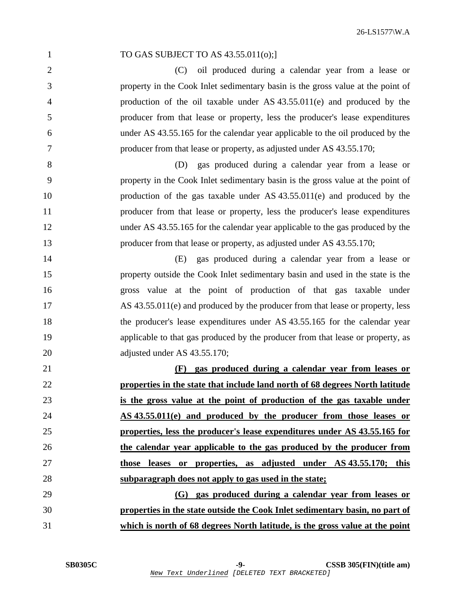| $\mathbf{1}$   | TO GAS SUBJECT TO AS 43.55.011(o);]                                             |
|----------------|---------------------------------------------------------------------------------|
| $\overline{2}$ | oil produced during a calendar year from a lease or<br>(C)                      |
| 3              | property in the Cook Inlet sedimentary basin is the gross value at the point of |
| $\overline{4}$ | production of the oil taxable under AS $43.55.011(e)$ and produced by the       |
| 5              | producer from that lease or property, less the producer's lease expenditures    |
| 6              | under AS 43.55.165 for the calendar year applicable to the oil produced by the  |
| 7              | producer from that lease or property, as adjusted under AS 43.55.170;           |
| 8              | gas produced during a calendar year from a lease or<br>(D)                      |
| 9              | property in the Cook Inlet sedimentary basin is the gross value at the point of |
| 10             | production of the gas taxable under AS $43.55.011(e)$ and produced by the       |
| 11             | producer from that lease or property, less the producer's lease expenditures    |
| 12             | under AS 43.55.165 for the calendar year applicable to the gas produced by the  |
| 13             | producer from that lease or property, as adjusted under AS 43.55.170;           |
| 14             | gas produced during a calendar year from a lease or<br>(E)                      |
| 15             | property outside the Cook Inlet sedimentary basin and used in the state is the  |
| 16             | gross value at the point of production of that gas taxable under                |
| 17             | AS 43.55.011(e) and produced by the producer from that lease or property, less  |
| 18             | the producer's lease expenditures under AS 43.55.165 for the calendar year      |
| 19             | applicable to that gas produced by the producer from that lease or property, as |
| 20             | adjusted under AS 43.55.170;                                                    |
| 21             | gas produced during a calendar year from leases or<br>(F)                       |
| 22             | properties in the state that include land north of 68 degrees North latitude    |
| 23             | is the gross value at the point of production of the gas taxable under          |
| 24             | AS 43.55.011(e) and produced by the producer from those leases or               |
| 25             | properties, less the producer's lease expenditures under AS 43.55.165 for       |
| 26             | the calendar year applicable to the gas produced by the producer from           |
| 27             | those leases or properties, as adjusted under AS 43.55.170; this                |
| 28             | subparagraph does not apply to gas used in the state;                           |
| 29             | (G) gas produced during a calendar year from leases or                          |
| 30             | properties in the state outside the Cook Inlet sedimentary basin, no part of    |
| 31             | which is north of 68 degrees North latitude, is the gross value at the point    |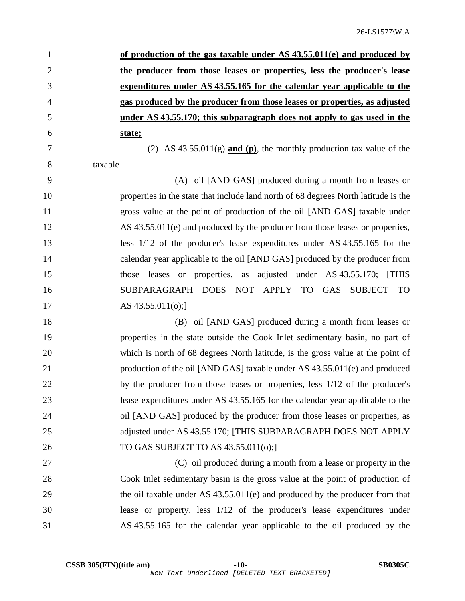| $\mathbf{1}$   | of production of the gas taxable under AS 43.55.011(e) and produced by    |
|----------------|---------------------------------------------------------------------------|
| 2              | the producer from those leases or properties, less the producer's lease   |
| 3              | expenditures under AS 43.55.165 for the calendar year applicable to the   |
| $\overline{4}$ | gas produced by the producer from those leases or properties, as adjusted |
| 5              | under AS 43.55.170; this subparagraph does not apply to gas used in the   |
| 6              | state;                                                                    |
|                |                                                                           |

7 (2) AS 43.55.011(g) **and (p)**, the monthly production tax value of the 8 taxable

9 (A) oil [AND GAS] produced during a month from leases or 10 properties in the state that include land north of 68 degrees North latitude is the 11 gross value at the point of production of the oil [AND GAS] taxable under 12 AS 43.55.011(e) and produced by the producer from those leases or properties, 13 less 1/12 of the producer's lease expenditures under AS 43.55.165 for the 14 calendar year applicable to the oil [AND GAS] produced by the producer from 15 those leases or properties, as adjusted under AS 43.55.170; [THIS 16 SUBPARAGRAPH DOES NOT APPLY TO GAS SUBJECT TO 17 **AS 43.55.011(o)**;

18 (B) oil [AND GAS] produced during a month from leases or 19 properties in the state outside the Cook Inlet sedimentary basin, no part of 20 which is north of 68 degrees North latitude, is the gross value at the point of 21 production of the oil [AND GAS] taxable under AS 43.55.011(e) and produced 22 by the producer from those leases or properties, less  $1/12$  of the producer's 23 lease expenditures under AS 43.55.165 for the calendar year applicable to the 24 oil [AND GAS] produced by the producer from those leases or properties, as 25 adjusted under AS 43.55.170; [THIS SUBPARAGRAPH DOES NOT APPLY 26 **TO GAS SUBJECT TO AS 43.55.011(0);** 

27 (C) oil produced during a month from a lease or property in the 28 Cook Inlet sedimentary basin is the gross value at the point of production of 29 the oil taxable under AS 43.55.011(e) and produced by the producer from that 30 lease or property, less 1/12 of the producer's lease expenditures under 31 AS 43.55.165 for the calendar year applicable to the oil produced by the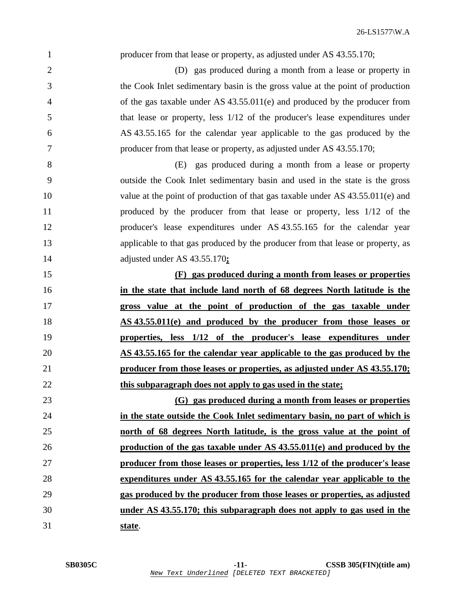| $\mathbf{1}$   | producer from that lease or property, as adjusted under AS 43.55.170;           |
|----------------|---------------------------------------------------------------------------------|
| $\overline{2}$ | (D) gas produced during a month from a lease or property in                     |
| 3              | the Cook Inlet sedimentary basin is the gross value at the point of production  |
| 4              | of the gas taxable under AS $43.55.011(e)$ and produced by the producer from    |
| 5              | that lease or property, less $1/12$ of the producer's lease expenditures under  |
| 6              | AS 43.55.165 for the calendar year applicable to the gas produced by the        |
| 7              | producer from that lease or property, as adjusted under AS 43.55.170;           |
| 8              | (E) gas produced during a month from a lease or property                        |
| 9              | outside the Cook Inlet sedimentary basin and used in the state is the gross     |
| 10             | value at the point of production of that gas taxable under AS 43.55.011(e) and  |
| 11             | produced by the producer from that lease or property, less 1/12 of the          |
| 12             | producer's lease expenditures under AS 43.55.165 for the calendar year          |
| 13             | applicable to that gas produced by the producer from that lease or property, as |
| 14             | adjusted under AS 43.55.170;                                                    |
| 15             | (F) gas produced during a month from leases or properties                       |
| 16             | in the state that include land north of 68 degrees North latitude is the        |
| 17             | gross value at the point of production of the gas taxable under                 |
| 18             | AS 43.55.011(e) and produced by the producer from those leases or               |
| 19             | properties, less 1/12 of the producer's lease expenditures under                |
| 20             | AS 43.55.165 for the calendar year applicable to the gas produced by the        |
| 21             | producer from those leases or properties, as adjusted under AS 43.55.170;       |
| 22             | this subparagraph does not apply to gas used in the state;                      |
| 23             | (G) gas produced during a month from leases or properties                       |
| 24             | in the state outside the Cook Inlet sedimentary basin, no part of which is      |
| 25             | north of 68 degrees North latitude, is the gross value at the point of          |
| 26             | production of the gas taxable under AS 43.55.011(e) and produced by the         |
| 27             | producer from those leases or properties, less 1/12 of the producer's lease     |
| 28             | expenditures under AS 43.55.165 for the calendar year applicable to the         |
| 29             | gas produced by the producer from those leases or properties, as adjusted       |
|                |                                                                                 |
| 30             | under AS 43.55.170; this subparagraph does not apply to gas used in the         |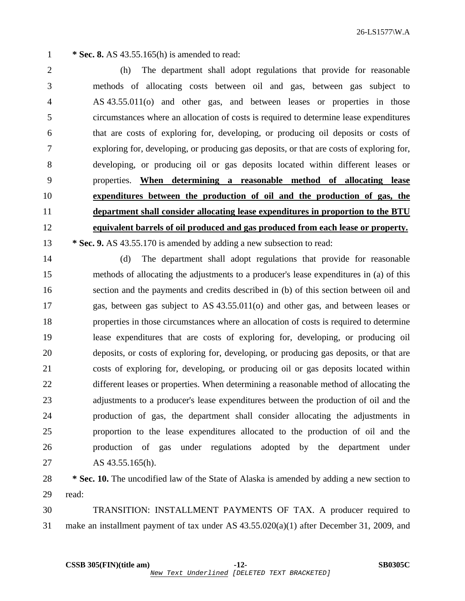26-LS1577\W.A

1 **\* Sec. 8.** AS 43.55.165(h) is amended to read:

2 (h) The department shall adopt regulations that provide for reasonable 3 methods of allocating costs between oil and gas, between gas subject to 4 AS 43.55.011(o) and other gas, and between leases or properties in those 5 circumstances where an allocation of costs is required to determine lease expenditures 6 that are costs of exploring for, developing, or producing oil deposits or costs of 7 exploring for, developing, or producing gas deposits, or that are costs of exploring for, 8 developing, or producing oil or gas deposits located within different leases or 9 properties. **When determining a reasonable method of allocating lease** 10 **expenditures between the production of oil and the production of gas, the** 11 **department shall consider allocating lease expenditures in proportion to the BTU** 12 **equivalent barrels of oil produced and gas produced from each lease or property.** 13 **\* Sec. 9.** AS 43.55.170 is amended by adding a new subsection to read:

14 (d) The department shall adopt regulations that provide for reasonable 15 methods of allocating the adjustments to a producer's lease expenditures in (a) of this 16 section and the payments and credits described in (b) of this section between oil and 17 gas, between gas subject to AS 43.55.011(o) and other gas, and between leases or 18 properties in those circumstances where an allocation of costs is required to determine 19 lease expenditures that are costs of exploring for, developing, or producing oil 20 deposits, or costs of exploring for, developing, or producing gas deposits, or that are 21 costs of exploring for, developing, or producing oil or gas deposits located within 22 different leases or properties. When determining a reasonable method of allocating the 23 adjustments to a producer's lease expenditures between the production of oil and the 24 production of gas, the department shall consider allocating the adjustments in 25 proportion to the lease expenditures allocated to the production of oil and the 26 production of gas under regulations adopted by the department under 27 AS 43.55.165(h).

28 **\* Sec. 10.** The uncodified law of the State of Alaska is amended by adding a new section to 29 read:

30 TRANSITION: INSTALLMENT PAYMENTS OF TAX. A producer required to 31 make an installment payment of tax under AS 43.55.020(a)(1) after December 31, 2009, and